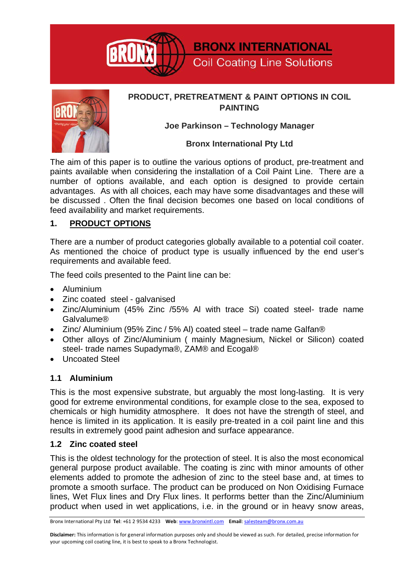



# **PRODUCT, PRETREATMENT & PAINT OPTIONS IN COIL PAINTING**

**BRONX INTERNATIONAL** 

**Coil Coating Line Solutions** 

# **Joe Parkinson – Technology Manager**

#### **Bronx International Pty Ltd**

The aim of this paper is to outline the various options of product, pre-treatment and paints available when considering the installation of a Coil Paint Line. There are a number of options available, and each option is designed to provide certain advantages. As with all choices, each may have some disadvantages and these will be discussed . Often the final decision becomes one based on local conditions of feed availability and market requirements.

# **1. PRODUCT OPTIONS**

There are a number of product categories globally available to a potential coil coater. As mentioned the choice of product type is usually influenced by the end user's requirements and available feed.

The feed coils presented to the Paint line can be:

- Aluminium
- Zinc coated steel galvanised
- Zinc/Aluminium (45% Zinc /55% Al with trace Si) coated steel- trade name Galvalume®
- Zinc/ Aluminium (95% Zinc / 5% Al) coated steel trade name Galfan®
- Other alloys of Zinc/Aluminium ( mainly Magnesium, Nickel or Silicon) coated steel- trade names Supadyma®, ZAM® and Ecogal®
- Uncoated Steel

## **1.1 Aluminium**

This is the most expensive substrate, but arguably the most long-lasting. It is very good for extreme environmental conditions, for example close to the sea, exposed to chemicals or high humidity atmosphere. It does not have the strength of steel, and hence is limited in its application. It is easily pre-treated in a coil paint line and this results in extremely good paint adhesion and surface appearance.

#### **1.2 Zinc coated steel**

This is the oldest technology for the protection of steel. It is also the most economical general purpose product available. The coating is zinc with minor amounts of other elements added to promote the adhesion of zinc to the steel base and, at times to promote a smooth surface. The product can be produced on Non Oxidising Furnace lines, Wet Flux lines and Dry Flux lines. It performs better than the Zinc/Aluminium product when used in wet applications, i.e. in the ground or in heavy snow areas,

Bronx International Pty Ltd **Tel**: +61 2 9534 4233 **Web**[: www.bronxintl.com](http://www.bronxintl.com/) **Email**: [salesteam@bronx.com.au](mailto:salesteam@bronx.com.au)

**Disclaimer:** This information is for general information purposes only and should be viewed as such. For detailed, precise information for your upcoming coil coating line, it is best to speak to a Bronx Technologist.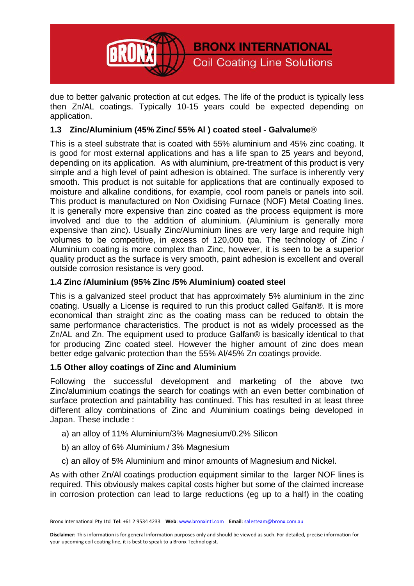

due to better galvanic protection at cut edges. The life of the product is typically less then Zn/AL coatings. Typically 10-15 years could be expected depending on application.

**BRONX INTERNATIONAL** 

**Coil Coating Line Solutions** 

# **1.3 Zinc/Aluminium (45% Zinc/ 55% Al ) coated steel - Galvalume**®

This is a steel substrate that is coated with 55% aluminium and 45% zinc coating. It is good for most external applications and has a life span to 25 years and beyond, depending on its application. As with aluminium, pre-treatment of this product is very simple and a high level of paint adhesion is obtained. The surface is inherently very smooth. This product is not suitable for applications that are continually exposed to moisture and alkaline conditions, for example, cool room panels or panels into soil. This product is manufactured on Non Oxidising Furnace (NOF) Metal Coating lines. It is generally more expensive than zinc coated as the process equipment is more involved and due to the addition of aluminium. (Aluminium is generally more expensive than zinc). Usually Zinc/Aluminium lines are very large and require high volumes to be competitive, in excess of 120,000 tpa. The technology of Zinc / Aluminium coating is more complex than Zinc, however, it is seen to be a superior quality product as the surface is very smooth, paint adhesion is excellent and overall outside corrosion resistance is very good.

## **1.4 Zinc /Aluminium (95% Zinc /5% Aluminium) coated steel**

This is a galvanized steel product that has approximately 5% aluminium in the zinc coating. Usually a License is required to run this product called Galfan®. It is more economical than straight zinc as the coating mass can be reduced to obtain the same performance characteristics. The product is not as widely processed as the Zn/AL and Zn. The equipment used to produce Galfan® is basically identical to that for producing Zinc coated steel. However the higher amount of zinc does mean better edge galvanic protection than the 55% Al/45% Zn coatings provide.

## **1.5 Other alloy coatings of Zinc and Aluminium**

Following the successful development and marketing of the above two Zinc/aluminium coatings the search for coatings with an even better combination of surface protection and paintability has continued. This has resulted in at least three different alloy combinations of Zinc and Aluminium coatings being developed in Japan. These include :

- a) an alloy of 11% Aluminium/3% Magnesium/0.2% Silicon
- b) an alloy of 6% Aluminium / 3% Magnesium
- c) an alloy of 5% Aluminium and minor amounts of Magnesium and Nickel.

As with other Zn/Al coatings production equipment similar to the larger NOF lines is required. This obviously makes capital costs higher but some of the claimed increase in corrosion protection can lead to large reductions (eg up to a half) in the coating

Bronx International Pty Ltd **Tel**: +61 2 9534 4233 **Web**[: www.bronxintl.com](http://www.bronxintl.com/) **Email**: [salesteam@bronx.com.au](mailto:salesteam@bronx.com.au)

**Disclaimer:** This information is for general information purposes only and should be viewed as such. For detailed, precise information for your upcoming coil coating line, it is best to speak to a Bronx Technologist.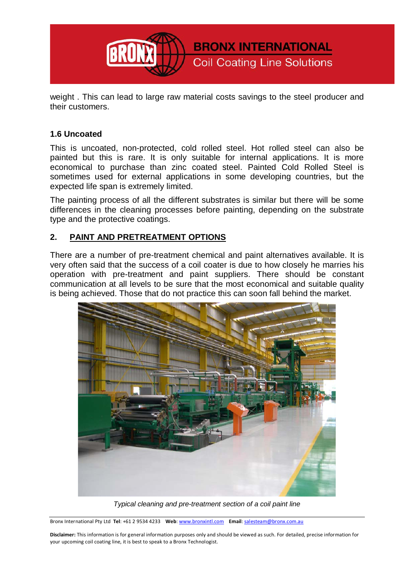

weight . This can lead to large raw material costs savings to the steel producer and their customers.

#### **1.6 Uncoated**

This is uncoated, non-protected, cold rolled steel. Hot rolled steel can also be painted but this is rare. It is only suitable for internal applications. It is more economical to purchase than zinc coated steel. Painted Cold Rolled Steel is sometimes used for external applications in some developing countries, but the expected life span is extremely limited.

The painting process of all the different substrates is similar but there will be some differences in the cleaning processes before painting, depending on the substrate type and the protective coatings.

## **2. PAINT AND PRETREATMENT OPTIONS**

There are a number of pre-treatment chemical and paint alternatives available. It is very often said that the success of a coil coater is due to how closely he marries his operation with pre-treatment and paint suppliers. There should be constant communication at all levels to be sure that the most economical and suitable quality is being achieved. Those that do not practice this can soon fall behind the market.



*Typical cleaning and pre-treatment section of a coil paint line*

Bronx International Pty Ltd **Tel**: +61 2 9534 4233 **Web**[: www.bronxintl.com](http://www.bronxintl.com/) **Email**: [salesteam@bronx.com.au](mailto:salesteam@bronx.com.au)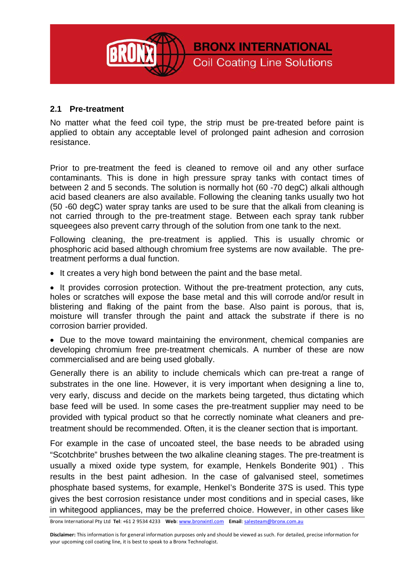

#### **2.1 Pre-treatment**

No matter what the feed coil type, the strip must be pre-treated before paint is applied to obtain any acceptable level of prolonged paint adhesion and corrosion resistance.

**BRONX INTERNATIONAL** 

**Coil Coating Line Solutions** 

Prior to pre-treatment the feed is cleaned to remove oil and any other surface contaminants. This is done in high pressure spray tanks with contact times of between 2 and 5 seconds. The solution is normally hot (60 -70 degC) alkali although acid based cleaners are also available. Following the cleaning tanks usually two hot (50 -60 degC) water spray tanks are used to be sure that the alkali from cleaning is not carried through to the pre-treatment stage. Between each spray tank rubber squeegees also prevent carry through of the solution from one tank to the next.

Following cleaning, the pre-treatment is applied. This is usually chromic or phosphoric acid based although chromium free systems are now available. The pretreatment performs a dual function.

• It creates a very high bond between the paint and the base metal.

• It provides corrosion protection. Without the pre-treatment protection, any cuts, holes or scratches will expose the base metal and this will corrode and/or result in blistering and flaking of the paint from the base. Also paint is porous, that is, moisture will transfer through the paint and attack the substrate if there is no corrosion barrier provided.

• Due to the move toward maintaining the environment, chemical companies are developing chromium free pre-treatment chemicals. A number of these are now commercialised and are being used globally.

Generally there is an ability to include chemicals which can pre-treat a range of substrates in the one line. However, it is very important when designing a line to, very early, discuss and decide on the markets being targeted, thus dictating which base feed will be used. In some cases the pre-treatment supplier may need to be provided with typical product so that he correctly nominate what cleaners and pretreatment should be recommended. Often, it is the cleaner section that is important.

For example in the case of uncoated steel, the base needs to be abraded using "Scotchbrite" brushes between the two alkaline cleaning stages. The pre-treatment is usually a mixed oxide type system, for example, Henkels Bonderite 901) . This results in the best paint adhesion. In the case of galvanised steel, sometimes phosphate based systems, for example, Henkel's Bonderite 37S is used. This type gives the best corrosion resistance under most conditions and in special cases, like in whitegood appliances, may be the preferred choice. However, in other cases like

Bronx International Pty Ltd **Tel**: +61 2 9534 4233 **Web**[: www.bronxintl.com](http://www.bronxintl.com/) **Email**: [salesteam@bronx.com.au](mailto:salesteam@bronx.com.au)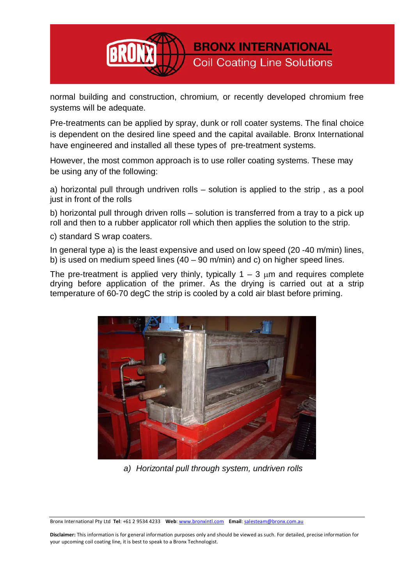

normal building and construction, chromium, or recently developed chromium free systems will be adequate.

Pre-treatments can be applied by spray, dunk or roll coater systems. The final choice is dependent on the desired line speed and the capital available. Bronx International have engineered and installed all these types of pre-treatment systems.

However, the most common approach is to use roller coating systems. These may be using any of the following:

a) horizontal pull through undriven rolls – solution is applied to the strip , as a pool just in front of the rolls

b) horizontal pull through driven rolls – solution is transferred from a tray to a pick up roll and then to a rubber applicator roll which then applies the solution to the strip.

c) standard S wrap coaters.

In general type a) is the least expensive and used on low speed (20 -40 m/min) lines, b) is used on medium speed lines  $(40 - 90 \text{ m/min})$  and c) on higher speed lines.

The pre-treatment is applied very thinly, typically  $1 - 3 \mu m$  and requires complete drying before application of the primer. As the drying is carried out at a strip temperature of 60-70 degC the strip is cooled by a cold air blast before priming.



*a) Horizontal pull through system, undriven rolls*

Bronx International Pty Ltd **Tel**: +61 2 9534 4233 **Web**[: www.bronxintl.com](http://www.bronxintl.com/) **Email**: [salesteam@bronx.com.au](mailto:salesteam@bronx.com.au)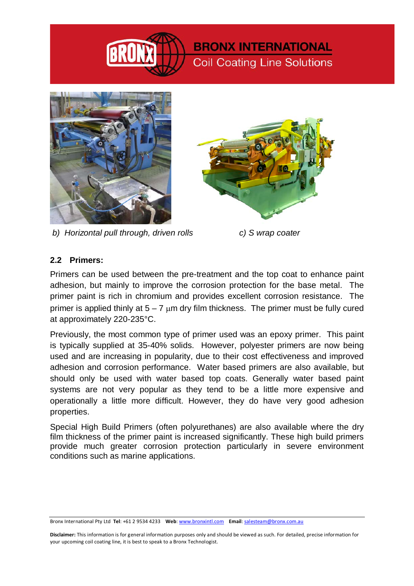

# **BRONX INTERNATIONAL Coil Coating Line Solutions**



*b) Horizontal pull through, driven rolls c) S wrap coater*



#### **2.2 Primers:**

Primers can be used between the pre-treatment and the top coat to enhance paint adhesion, but mainly to improve the corrosion protection for the base metal. The primer paint is rich in chromium and provides excellent corrosion resistance. The primer is applied thinly at  $5 - 7 \mu m$  dry film thickness. The primer must be fully cured at approximately 220-235°C.

Previously, the most common type of primer used was an epoxy primer. This paint is typically supplied at 35-40% solids. However, polyester primers are now being used and are increasing in popularity, due to their cost effectiveness and improved adhesion and corrosion performance. Water based primers are also available, but should only be used with water based top coats. Generally water based paint systems are not very popular as they tend to be a little more expensive and operationally a little more difficult. However, they do have very good adhesion properties.

Special High Build Primers (often polyurethanes) are also available where the dry film thickness of the primer paint is increased significantly. These high build primers provide much greater corrosion protection particularly in severe environment conditions such as marine applications.

Bronx International Pty Ltd **Tel**: +61 2 9534 4233 **Web**[: www.bronxintl.com](http://www.bronxintl.com/) **Email**: [salesteam@bronx.com.au](mailto:salesteam@bronx.com.au)